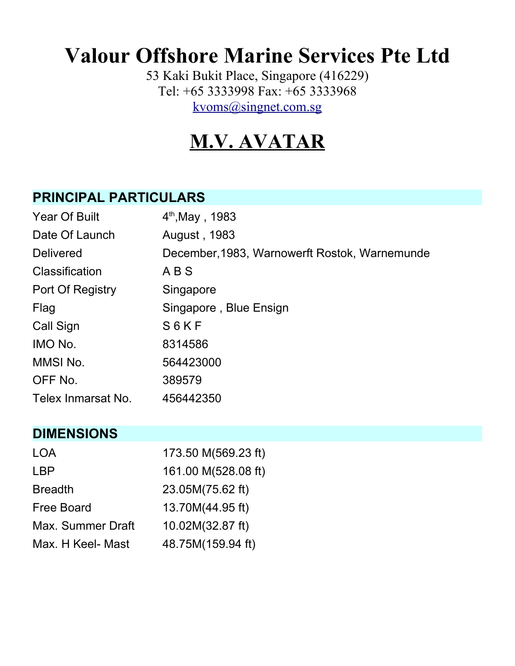# **Valour Offshore Marine Services Pte Ltd**

53 Kaki Bukit Place, Singapore (416229) Tel: +65 3333998 Fax: +65 3333968 [kvoms@singnet.com.sg](mailto:kvoms@singnet.com.sg)

# **M.V. AVATAR**

#### **PRINCIPAL PARTICULARS**

| <b>Year Of Built</b> | $4th$ , May, 1983                             |
|----------------------|-----------------------------------------------|
| Date Of Launch       | <b>August, 1983</b>                           |
| <b>Delivered</b>     | December, 1983, Warnowerft Rostok, Warnemunde |
| Classification       | ABS                                           |
| Port Of Registry     | Singapore                                     |
| <b>Flag</b>          | Singapore, Blue Ensign                        |
| Call Sign            | S6KF                                          |
| IMO No.              | 8314586                                       |
| MMSI No.             | 564423000                                     |
| OFF No.              | 389579                                        |
| Telex Inmarsat No.   | 456442350                                     |

#### **DIMENSIONS**

| <b>LOA</b>               | 173.50 M(569.23 ft) |
|--------------------------|---------------------|
| <b>LBP</b>               | 161.00 M(528.08 ft) |
| <b>Breadth</b>           | 23.05M(75.62 ft)    |
| Free Board               | 13.70M(44.95 ft)    |
| <b>Max. Summer Draft</b> | 10.02M(32.87 ft)    |
| Max. H Keel- Mast        | 48.75M(159.94 ft)   |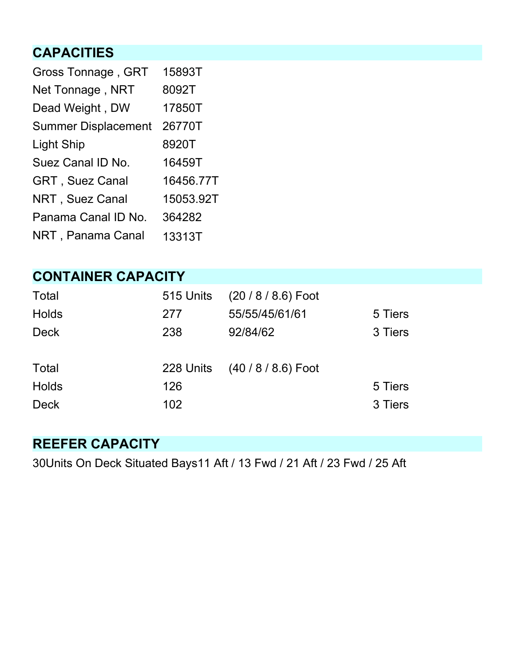## **CAPACITIES**

| Gross Tonnage, GRT         | 15893T    |
|----------------------------|-----------|
| Net Tonnage, NRT           | 8092T     |
| Dead Weight, DW            | 17850T    |
| <b>Summer Displacement</b> | 26770T    |
| Light Ship                 | 8920T     |
| Suez Canal ID No.          | 16459T    |
| <b>GRT</b> , Suez Canal    | 16456.77T |
| NRT, Suez Canal            | 15053.92T |
| Panama Canal ID No.        | 364282    |
| NRT, Panama Canal          | 13313T    |

## **CONTAINER CAPACITY**

| <b>Total</b> |     | 515 Units (20 / 8 / 8.6) Foot |         |
|--------------|-----|-------------------------------|---------|
| <b>Holds</b> | 277 | 55/55/45/61/61                | 5 Tiers |
| <b>Deck</b>  | 238 | 92/84/62                      | 3 Tiers |
|              |     |                               |         |
| <b>Total</b> |     | 228 Units (40/8/8.6) Foot     |         |
| <b>Holds</b> | 126 |                               | 5 Tiers |
| <b>Deck</b>  | 102 |                               | 3 Tiers |

#### **REEFER CAPACITY**

30Units On Deck Situated Bays11 Aft / 13 Fwd / 21 Aft / 23 Fwd / 25 Aft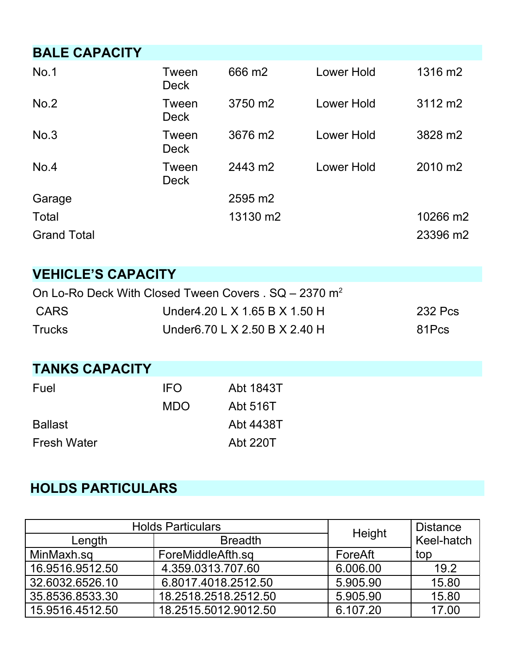| <b>BALE CAPACITY</b> |                      |          |                   |                     |
|----------------------|----------------------|----------|-------------------|---------------------|
| No.1                 | Tween<br><b>Deck</b> | 666 m2   | <b>Lower Hold</b> | 1316 m <sub>2</sub> |
| No.2                 | Tween<br><b>Deck</b> | 3750 m2  | <b>Lower Hold</b> | 3112 m2             |
| No.3                 | Tween<br><b>Deck</b> | 3676 m2  | <b>Lower Hold</b> | 3828 m2             |
| No.4                 | Tween<br><b>Deck</b> | 2443 m2  | <b>Lower Hold</b> | 2010 m2             |
| Garage               |                      | 2595 m2  |                   |                     |
| <b>Total</b>         |                      | 13130 m2 |                   | 10266 m2            |
| <b>Grand Total</b>   |                      |          |                   | 23396 m2            |

# **VEHICLE'S CAPACITY**

| On Lo-Ro Deck With Closed Tween Covers $\cdot$ SQ $-$ 2370 m <sup>2</sup> |                                    |         |
|---------------------------------------------------------------------------|------------------------------------|---------|
| CARS                                                                      | Under 4.20 L $X$ 1.65 B $X$ 1.50 H | 232 Pcs |
| <b>Trucks</b>                                                             | Under6.70 L X 2.50 B X 2.40 H      | 81Pcs   |

#### **TANKS CAPACITY**

| Fuel               | <b>IFO</b> | Abt 1843T       |
|--------------------|------------|-----------------|
|                    | <b>MDO</b> | Abt 516T        |
| <b>Ballast</b>     |            | Abt 4438T       |
| <b>Fresh Water</b> |            | <b>Abt 220T</b> |

# **HOLDS PARTICULARS**

| <b>Holds Particulars</b> |                      | Height   | <b>Distance</b> |
|--------------------------|----------------------|----------|-----------------|
| Length                   | <b>Breadth</b>       |          | Keel-hatch      |
| MinMaxh.sq               | ForeMiddleAfth.sq    | ForeAft  | top             |
| 16.9516.9512.50          | 4.359.0313.707.60    | 6.006.00 | 19.2            |
| 32.6032.6526.10          | 6.8017.4018.2512.50  | 5.905.90 | 15.80           |
| 35.8536.8533.30          | 18.2518.2518.2512.50 | 5.905.90 | 15.80           |
| 15.9516.4512.50          | 18.2515.5012.9012.50 | 6.107.20 | 17.00           |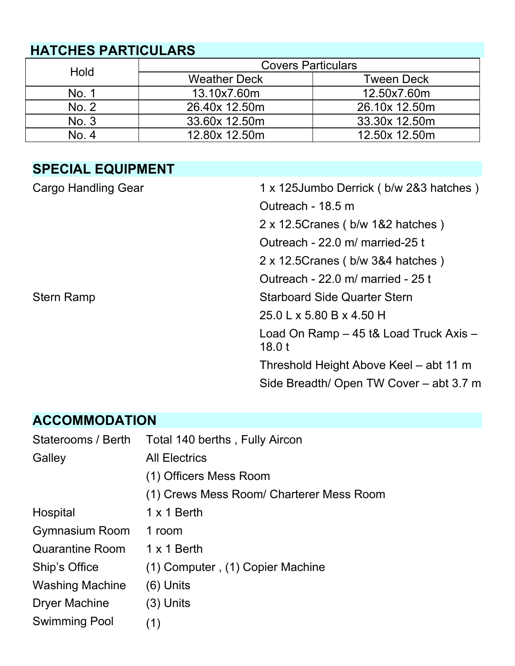# **HATCHES PARTICULARS**

| Hold  | <b>Covers Particulars</b> |                   |  |
|-------|---------------------------|-------------------|--|
|       | <b>Weather Deck</b>       | <b>Tween Deck</b> |  |
| No. 1 | 13.10x7.60m               | 12.50x7.60m       |  |
| No. 2 | 26.40x 12.50m             | 26.10x 12.50m     |  |
| No. 3 | 33.60x 12.50m             | 33.30x 12.50m     |  |
| No. 4 | 12.80x 12.50m             | 12.50x 12.50m     |  |

## **SPECIAL EQUIPMENT**

| <b>Cargo Handling Gear</b> | 1 x 125 Jumbo Derrick (b/w 2&3 hatches)         |
|----------------------------|-------------------------------------------------|
|                            | Outreach - 18.5 m                               |
|                            | 2 x 12.5 Cranes (b/w 1&2 hatches)               |
|                            | Outreach - 22.0 m/ married-25 t                 |
|                            | 2 x 12.5 Cranes (b/w 3&4 hatches)               |
|                            | Outreach - 22.0 m/ married - 25 t               |
| <b>Stern Ramp</b>          | <b>Starboard Side Quarter Stern</b>             |
|                            | 25.0 L x 5.80 B x 4.50 H                        |
|                            | Load On Ramp - 45 t& Load Truck Axis -<br>18.0t |
|                            | Threshold Height Above Keel - abt 11 m          |
|                            | Side Breadth/ Open TW Cover – abt 3.7 m         |

## **ACCOMMODATION**

| Staterooms / Berth     | Total 140 berths, Fully Aircon           |
|------------------------|------------------------------------------|
| Galley                 | <b>All Electrics</b>                     |
|                        | (1) Officers Mess Room                   |
|                        | (1) Crews Mess Room/ Charterer Mess Room |
| Hospital               | 1 x 1 Berth                              |
| <b>Gymnasium Room</b>  | 1 room                                   |
| <b>Quarantine Room</b> | 1 x 1 Berth                              |
| Ship's Office          | (1) Computer, (1) Copier Machine         |
| <b>Washing Machine</b> | $(6)$ Units                              |
| Dryer Machine          | $(3)$ Units                              |
| <b>Swimming Pool</b>   | (1)                                      |